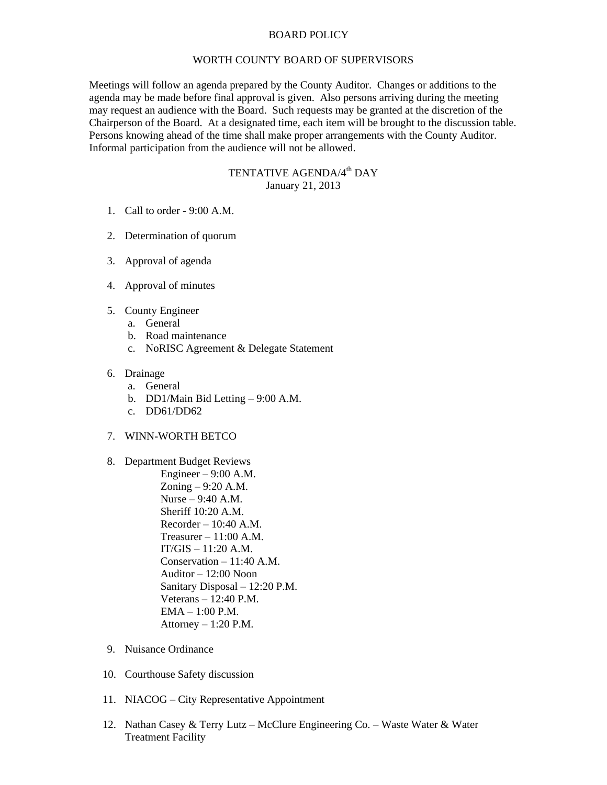## BOARD POLICY

## WORTH COUNTY BOARD OF SUPERVISORS

Meetings will follow an agenda prepared by the County Auditor. Changes or additions to the agenda may be made before final approval is given. Also persons arriving during the meeting may request an audience with the Board. Such requests may be granted at the discretion of the Chairperson of the Board. At a designated time, each item will be brought to the discussion table. Persons knowing ahead of the time shall make proper arrangements with the County Auditor. Informal participation from the audience will not be allowed.

## TENTATIVE AGENDA/4<sup>th</sup> DAY January 21, 2013

- 1. Call to order 9:00 A.M.
- 2. Determination of quorum
- 3. Approval of agenda
- 4. Approval of minutes
- 5. County Engineer
	- a. General
	- b. Road maintenance
	- c. NoRISC Agreement & Delegate Statement
- 6. Drainage
	- a. General
	- b. DD1/Main Bid Letting 9:00 A.M.
	- c. DD61/DD62
- 7. WINN-WORTH BETCO
- 8. Department Budget Reviews
	- Engineer  $9:00$  A.M. Zoning – 9:20 A.M. Nurse – 9:40 A.M. Sheriff 10:20 A.M. Recorder – 10:40 A.M. Treasurer  $-11:00$  A.M.  $IT/GIS - 11:20 A.M.$ Conservation – 11:40 A.M. Auditor – 12:00 Noon Sanitary Disposal – 12:20 P.M. Veterans – 12:40 P.M. EMA – 1:00 P.M. Attorney  $-1:20$  P.M.
- 9. Nuisance Ordinance
- 10. Courthouse Safety discussion
- 11. NIACOG City Representative Appointment
- 12. Nathan Casey & Terry Lutz McClure Engineering Co. Waste Water & Water Treatment Facility